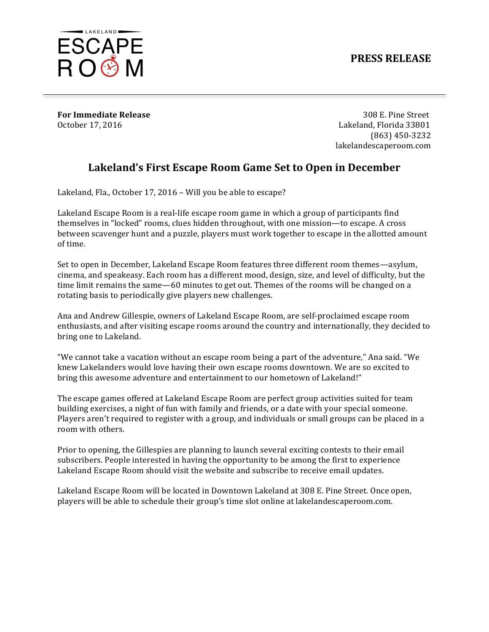## **PRESS RELEASE**



**For Immediate Release** 308 E. Pine Street

October 17, 2016 Lakeland, Florida 33801 (863) 450-3232 lakelandescaperoom.com

## Lakeland's First Escape Room Game Set to Open in December

Lakeland, Fla., October 17, 2016 - Will you be able to escape?

Lakeland Escape Room is a real-life escape room game in which a group of participants find themselves in "locked" rooms, clues hidden throughout, with one mission—to escape. A cross between scavenger hunt and a puzzle, players must work together to escape in the allotted amount of time.

Set to open in December, Lakeland Escape Room features three different room themes—asylum, cinema, and speakeasy. Each room has a different mood, design, size, and level of difficulty, but the time limit remains the same—60 minutes to get out. Themes of the rooms will be changed on a rotating basis to periodically give players new challenges.

Ana and Andrew Gillespie, owners of Lakeland Escape Room, are self-proclaimed escape room enthusiasts, and after visiting escape rooms around the country and internationally, they decided to bring one to Lakeland.

"We cannot take a vacation without an escape room being a part of the adventure," Ana said. "We knew Lakelanders would love having their own escape rooms downtown. We are so excited to bring this awesome adventure and entertainment to our hometown of Lakeland!"

The escape games offered at Lakeland Escape Room are perfect group activities suited for team building exercises, a night of fun with family and friends, or a date with your special someone. Players aren't required to register with a group, and individuals or small groups can be placed in a room with others.

Prior to opening, the Gillespies are planning to launch several exciting contests to their email subscribers. People interested in having the opportunity to be among the first to experience Lakeland Escape Room should visit the website and subscribe to receive email updates.

Lakeland Escape Room will be located in Downtown Lakeland at 308 E. Pine Street. Once open, players will be able to schedule their group's time slot online at lakelandescaperoom.com.